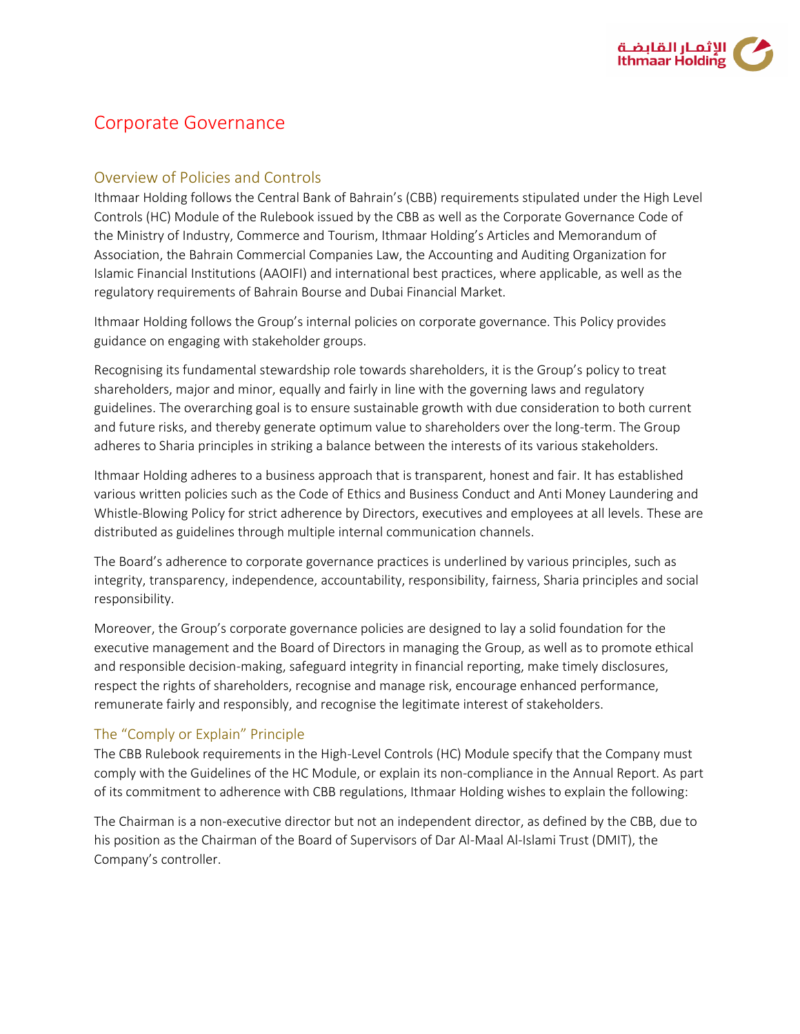

# Corporate Governance

# Overview of Policies and Controls

Ithmaar Holding follows the Central Bank of Bahrain's (CBB) requirements stipulated under the High Level Controls (HC) Module of the Rulebook issued by the CBB as well as the Corporate Governance Code of the Ministry of Industry, Commerce and Tourism, Ithmaar Holding's Articles and Memorandum of Association, the Bahrain Commercial Companies Law, the Accounting and Auditing Organization for Islamic Financial Institutions (AAOIFI) and international best practices, where applicable, as well as the regulatory requirements of Bahrain Bourse and Dubai Financial Market.

Ithmaar Holding follows the Group's internal policies on corporate governance. This Policy provides guidance on engaging with stakeholder groups.

Recognising its fundamental stewardship role towards shareholders, it is the Group's policy to treat shareholders, major and minor, equally and fairly in line with the governing laws and regulatory guidelines. The overarching goal is to ensure sustainable growth with due consideration to both current and future risks, and thereby generate optimum value to shareholders over the long-term. The Group adheres to Sharia principles in striking a balance between the interests of its various stakeholders.

Ithmaar Holding adheres to a business approach that is transparent, honest and fair. It has established various written policies such as the Code of Ethics and Business Conduct and Anti Money Laundering and Whistle-Blowing Policy for strict adherence by Directors, executives and employees at all levels. These are distributed as guidelines through multiple internal communication channels.

The Board's adherence to corporate governance practices is underlined by various principles, such as integrity, transparency, independence, accountability, responsibility, fairness, Sharia principles and social responsibility.

Moreover, the Group's corporate governance policies are designed to lay a solid foundation for the executive management and the Board of Directors in managing the Group, as well as to promote ethical and responsible decision-making, safeguard integrity in financial reporting, make timely disclosures, respect the rights of shareholders, recognise and manage risk, encourage enhanced performance, remunerate fairly and responsibly, and recognise the legitimate interest of stakeholders.

#### The "Comply or Explain" Principle

The CBB Rulebook requirements in the High-Level Controls (HC) Module specify that the Company must comply with the Guidelines of the HC Module, or explain its non-compliance in the Annual Report. As part of its commitment to adherence with CBB regulations, Ithmaar Holding wishes to explain the following:

The Chairman is a non-executive director but not an independent director, as defined by the CBB, due to his position as the Chairman of the Board of Supervisors of Dar Al-Maal Al-Islami Trust (DMIT), the Company's controller.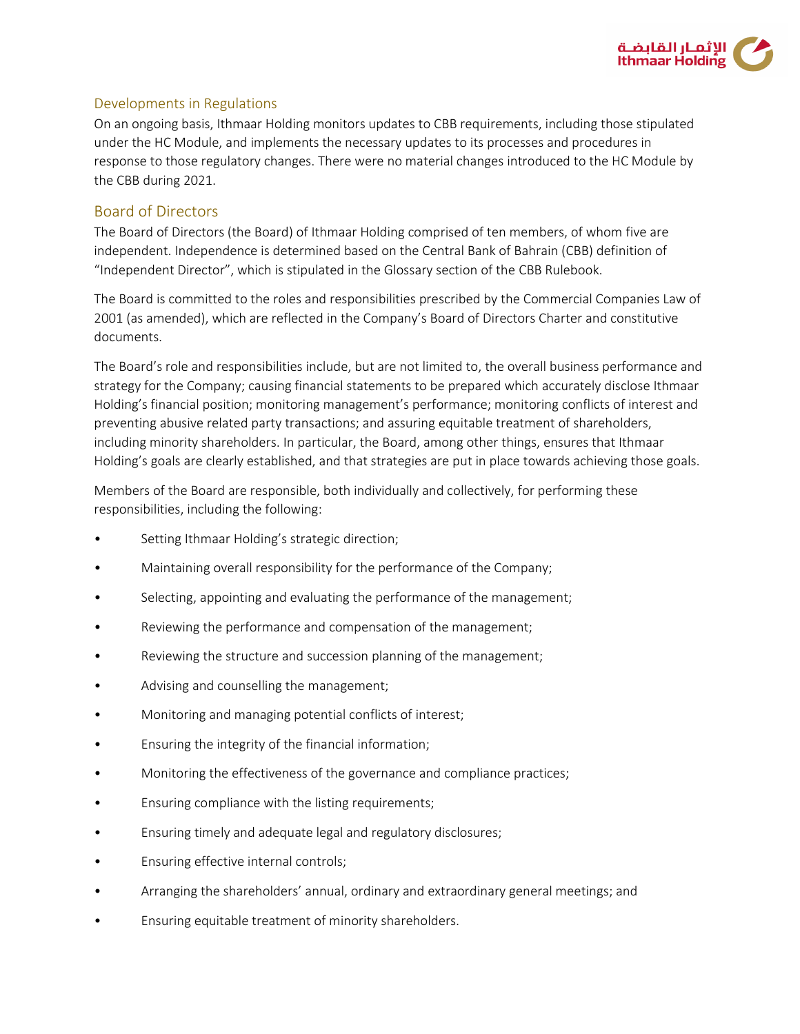

#### Developments in Regulations

On an ongoing basis, Ithmaar Holding monitors updates to CBB requirements, including those stipulated under the HC Module, and implements the necessary updates to its processes and procedures in response to those regulatory changes. There were no material changes introduced to the HC Module by the CBB during 2021.

### Board of Directors

The Board of Directors (the Board) of Ithmaar Holding comprised of ten members, of whom five are independent. Independence is determined based on the Central Bank of Bahrain (CBB) definition of "Independent Director", which is stipulated in the Glossary section of the CBB Rulebook.

The Board is committed to the roles and responsibilities prescribed by the Commercial Companies Law of 2001 (as amended), which are reflected in the Company's Board of Directors Charter and constitutive documents.

The Board's role and responsibilities include, but are not limited to, the overall business performance and strategy for the Company; causing financial statements to be prepared which accurately disclose Ithmaar Holding's financial position; monitoring management's performance; monitoring conflicts of interest and preventing abusive related party transactions; and assuring equitable treatment of shareholders, including minority shareholders. In particular, the Board, among other things, ensures that Ithmaar Holding's goals are clearly established, and that strategies are put in place towards achieving those goals.

Members of the Board are responsible, both individually and collectively, for performing these responsibilities, including the following:

- Setting Ithmaar Holding's strategic direction;
- Maintaining overall responsibility for the performance of the Company;
- Selecting, appointing and evaluating the performance of the management;
- Reviewing the performance and compensation of the management;
- Reviewing the structure and succession planning of the management;
- Advising and counselling the management;
- Monitoring and managing potential conflicts of interest;
- Ensuring the integrity of the financial information;
- Monitoring the effectiveness of the governance and compliance practices;
- Ensuring compliance with the listing requirements;
- Ensuring timely and adequate legal and regulatory disclosures;
- Ensuring effective internal controls;
- Arranging the shareholders' annual, ordinary and extraordinary general meetings; and
- Ensuring equitable treatment of minority shareholders.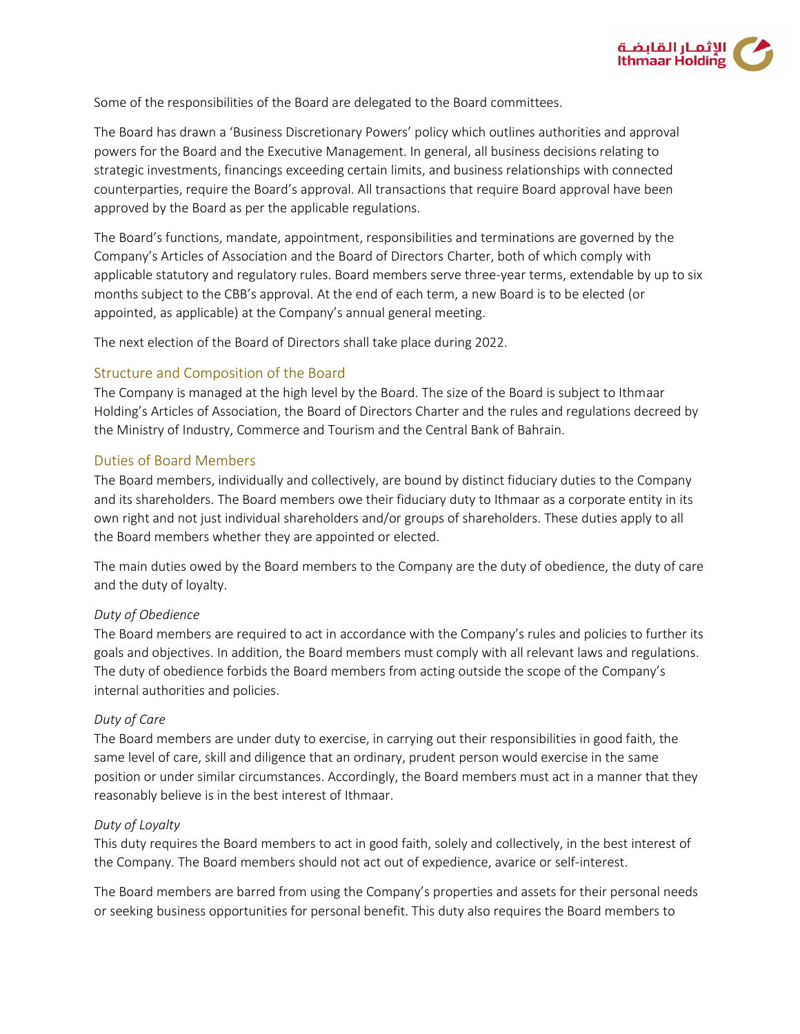

Some of the responsibilities of the Board are delegated to the Board committees.

The Board has drawn a 'Business Discretionary Powers' policy which outlines authorities and approval powers for the Board and the Executive Management. In general, all business decisions relating to strategic investments, financings exceeding certain limits, and business relationships with connected counterparties, require the Board's approval. All transactions that require Board approval have been approved by the Board as per the applicable regulations.

The Board's functions, mandate, appointment, responsibilities and terminations are governed by the Company's Articles of Association and the Board of Directors Charter, both of which comply with applicable statutory and regulatory rules. Board members serve three-year terms, extendable by up to six months subject to the CBB's approval. At the end of each term, a new Board is to be elected (or appointed, as applicable) at the Company's annual general meeting.

The next election of the Board of Directors shall take place during 2022.

#### Structure and Composition of the Board

The Company is managed at the high level by the Board. The size of the Board is subject to Ithmaar Holding's Articles of Association, the Board of Directors Charter and the rules and regulations decreed by the Ministry of Industry, Commerce and Tourism and the Central Bank of Bahrain.

#### Duties of Board Members

The Board members, individually and collectively, are bound by distinct fiduciary duties to the Company and its shareholders. The Board members owe their fiduciary duty to Ithmaar as a corporate entity in its own right and not just individual shareholders and/or groups of shareholders. These duties apply to all the Board members whether they are appointed or elected.

The main duties owed by the Board members to the Company are the duty of obedience, the duty of care and the duty of loyalty.

#### *Duty of Obedience*

The Board members are required to act in accordance with the Company's rules and policies to further its goals and objectives. In addition, the Board members must comply with all relevant laws and regulations. The duty of obedience forbids the Board members from acting outside the scope of the Company's internal authorities and policies.

#### *Duty of Care*

The Board members are under duty to exercise, in carrying out their responsibilities in good faith, the same level of care, skill and diligence that an ordinary, prudent person would exercise in the same position or under similar circumstances. Accordingly, the Board members must act in a manner that they reasonably believe is in the best interest of Ithmaar.

#### *Duty of Loyalty*

This duty requires the Board members to act in good faith, solely and collectively, in the best interest of the Company. The Board members should not act out of expedience, avarice or self-interest.

The Board members are barred from using the Company's properties and assets for their personal needs or seeking business opportunities for personal benefit. This duty also requires the Board members to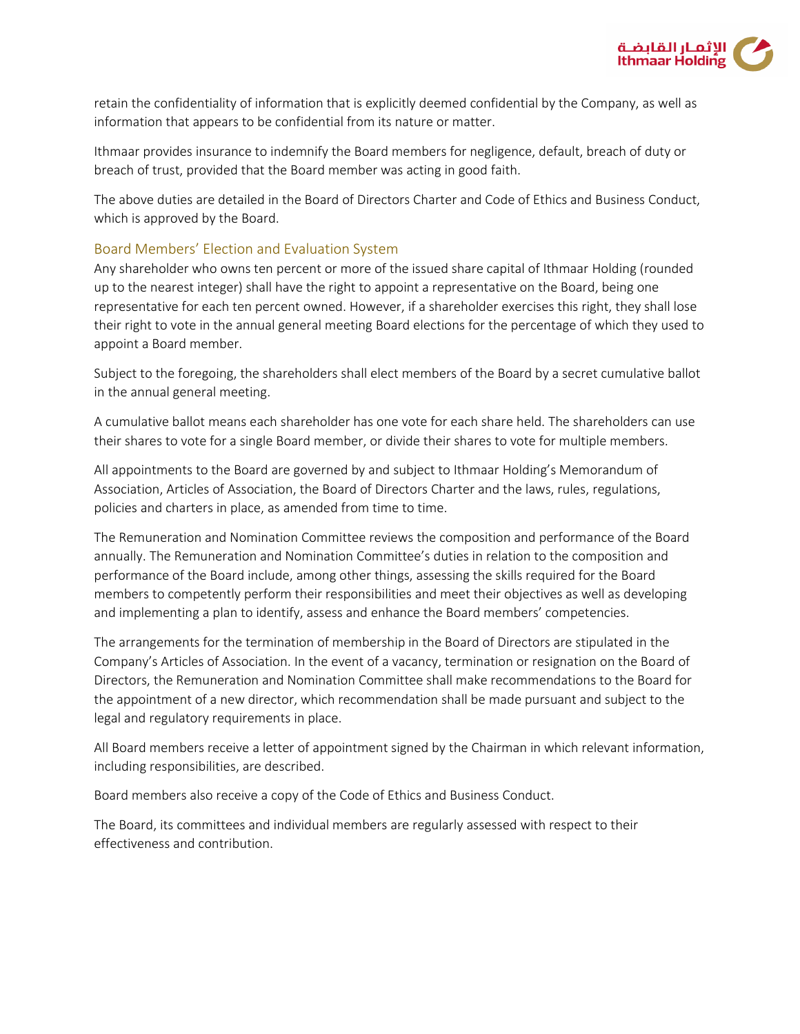

retain the confidentiality of information that is explicitly deemed confidential by the Company, as well as information that appears to be confidential from its nature or matter.

Ithmaar provides insurance to indemnify the Board members for negligence, default, breach of duty or breach of trust, provided that the Board member was acting in good faith.

The above duties are detailed in the Board of Directors Charter and Code of Ethics and Business Conduct, which is approved by the Board.

#### Board Members' Election and Evaluation System

Any shareholder who owns ten percent or more of the issued share capital of Ithmaar Holding (rounded up to the nearest integer) shall have the right to appoint a representative on the Board, being one representative for each ten percent owned. However, if a shareholder exercises this right, they shall lose their right to vote in the annual general meeting Board elections for the percentage of which they used to appoint a Board member.

Subject to the foregoing, the shareholders shall elect members of the Board by a secret cumulative ballot in the annual general meeting.

A cumulative ballot means each shareholder has one vote for each share held. The shareholders can use their shares to vote for a single Board member, or divide their shares to vote for multiple members.

All appointments to the Board are governed by and subject to Ithmaar Holding's Memorandum of Association, Articles of Association, the Board of Directors Charter and the laws, rules, regulations, policies and charters in place, as amended from time to time.

The Remuneration and Nomination Committee reviews the composition and performance of the Board annually. The Remuneration and Nomination Committee's duties in relation to the composition and performance of the Board include, among other things, assessing the skills required for the Board members to competently perform their responsibilities and meet their objectives as well as developing and implementing a plan to identify, assess and enhance the Board members' competencies.

The arrangements for the termination of membership in the Board of Directors are stipulated in the Company's Articles of Association. In the event of a vacancy, termination or resignation on the Board of Directors, the Remuneration and Nomination Committee shall make recommendations to the Board for the appointment of a new director, which recommendation shall be made pursuant and subject to the legal and regulatory requirements in place.

All Board members receive a letter of appointment signed by the Chairman in which relevant information, including responsibilities, are described.

Board members also receive a copy of the Code of Ethics and Business Conduct.

The Board, its committees and individual members are regularly assessed with respect to their effectiveness and contribution.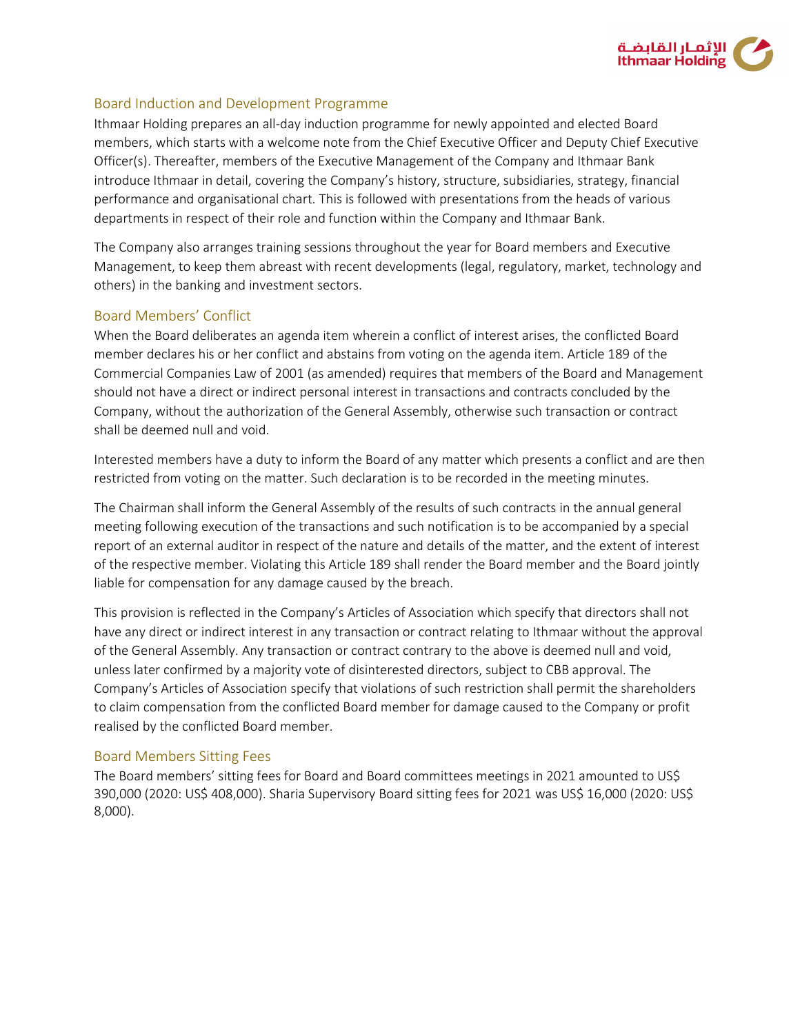

#### Board Induction and Development Programme

Ithmaar Holding prepares an all-day induction programme for newly appointed and elected Board members, which starts with a welcome note from the Chief Executive Officer and Deputy Chief Executive Officer(s). Thereafter, members of the Executive Management of the Company and Ithmaar Bank introduce Ithmaar in detail, covering the Company's history, structure, subsidiaries, strategy, financial performance and organisational chart. This is followed with presentations from the heads of various departments in respect of their role and function within the Company and Ithmaar Bank.

The Company also arranges training sessions throughout the year for Board members and Executive Management, to keep them abreast with recent developments (legal, regulatory, market, technology and others) in the banking and investment sectors.

#### Board Members' Conflict

When the Board deliberates an agenda item wherein a conflict of interest arises, the conflicted Board member declares his or her conflict and abstains from voting on the agenda item. Article 189 of the Commercial Companies Law of 2001 (as amended) requires that members of the Board and Management should not have a direct or indirect personal interest in transactions and contracts concluded by the Company, without the authorization of the General Assembly, otherwise such transaction or contract shall be deemed null and void.

Interested members have a duty to inform the Board of any matter which presents a conflict and are then restricted from voting on the matter. Such declaration is to be recorded in the meeting minutes.

The Chairman shall inform the General Assembly of the results of such contracts in the annual general meeting following execution of the transactions and such notification is to be accompanied by a special report of an external auditor in respect of the nature and details of the matter, and the extent of interest of the respective member. Violating this Article 189 shall render the Board member and the Board jointly liable for compensation for any damage caused by the breach.

This provision is reflected in the Company's Articles of Association which specify that directors shall not have any direct or indirect interest in any transaction or contract relating to Ithmaar without the approval of the General Assembly. Any transaction or contract contrary to the above is deemed null and void, unless later confirmed by a majority vote of disinterested directors, subject to CBB approval. The Company's Articles of Association specify that violations of such restriction shall permit the shareholders to claim compensation from the conflicted Board member for damage caused to the Company or profit realised by the conflicted Board member.

#### Board Members Sitting Fees

The Board members' sitting fees for Board and Board committees meetings in 2021 amounted to US\$ 390,000 (2020: US\$ 408,000). Sharia Supervisory Board sitting fees for 2021 was US\$ 16,000 (2020: US\$ 8,000).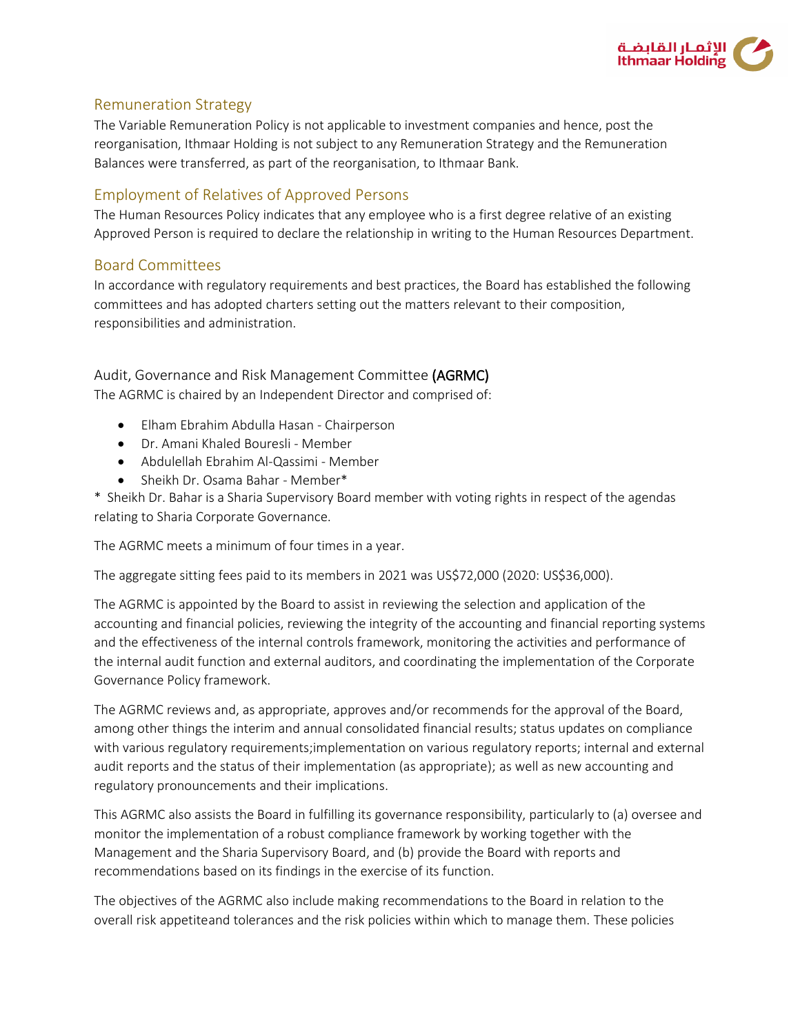

### Remuneration Strategy

The Variable Remuneration Policy is not applicable to investment companies and hence, post the reorganisation, Ithmaar Holding is not subject to any Remuneration Strategy and the Remuneration Balances were transferred, as part of the reorganisation, to Ithmaar Bank.

### Employment of Relatives of Approved Persons

The Human Resources Policy indicates that any employee who is a first degree relative of an existing Approved Person is required to declare the relationship in writing to the Human Resources Department.

### Board Committees

In accordance with regulatory requirements and best practices, the Board has established the following committees and has adopted charters setting out the matters relevant to their composition, responsibilities and administration.

### Audit, Governance and Risk Management Committee (AGRMC)

The AGRMC is chaired by an Independent Director and comprised of:

- Elham Ebrahim Abdulla Hasan Chairperson
- Dr. Amani Khaled Bouresli Member
- Abdulellah Ebrahim Al-Qassimi Member
- Sheikh Dr. Osama Bahar Member\*

\* Sheikh Dr. Bahar is a Sharia Supervisory Board member with voting rights in respect of the agendas relating to Sharia Corporate Governance.

The AGRMC meets a minimum of four times in a year.

The aggregate sitting fees paid to its members in 2021 was US\$72,000 (2020: US\$36,000).

The AGRMC is appointed by the Board to assist in reviewing the selection and application of the accounting and financial policies, reviewing the integrity of the accounting and financial reporting systems and the effectiveness of the internal controls framework, monitoring the activities and performance of the internal audit function and external auditors, and coordinating the implementation of the Corporate Governance Policy framework.

The AGRMC reviews and, as appropriate, approves and/or recommends for the approval of the Board, among other things the interim and annual consolidated financial results; status updates on compliance with various regulatory requirements;implementation on various regulatory reports; internal and external audit reports and the status of their implementation (as appropriate); as well as new accounting and regulatory pronouncements and their implications.

This AGRMC also assists the Board in fulfilling its governance responsibility, particularly to (a) oversee and monitor the implementation of a robust compliance framework by working together with the Management and the Sharia Supervisory Board, and (b) provide the Board with reports and recommendations based on its findings in the exercise of its function.

The objectives of the AGRMC also include making recommendations to the Board in relation to the overall risk appetite and tolerances and the risk policies within which to manage them. These policies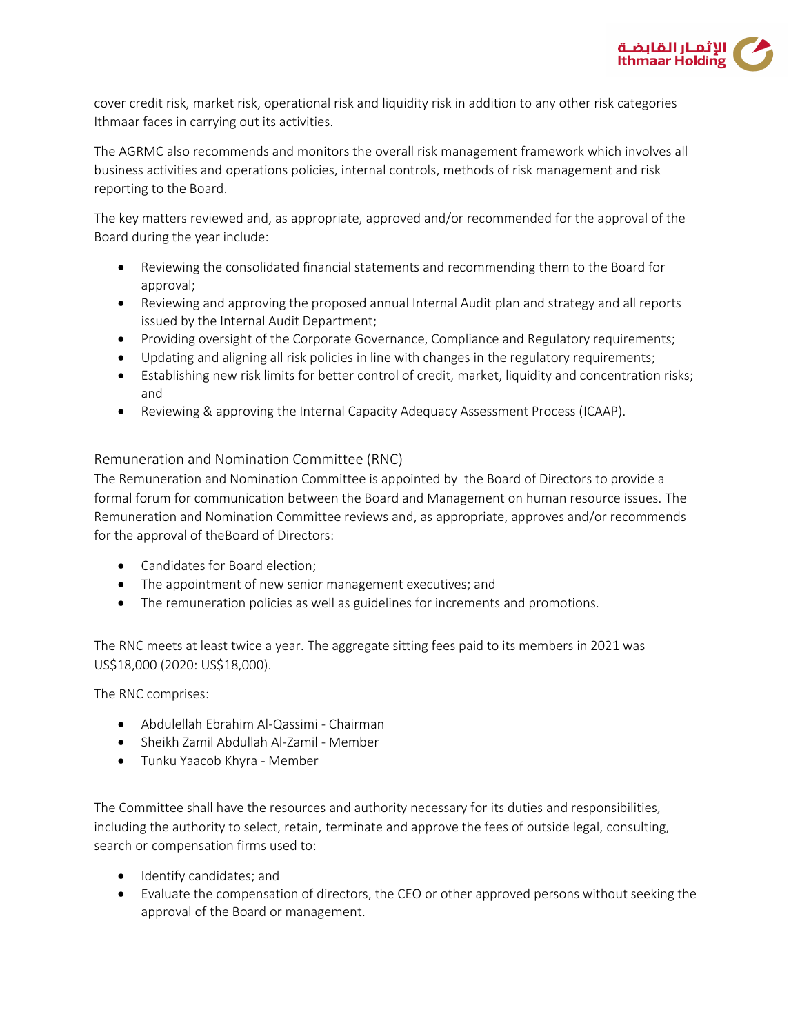

cover credit risk, market risk, operational risk and liquidity risk in addition to any other risk categories Ithmaar faces in carrying out its activities.

The AGRMC also recommends and monitors the overall risk management framework which involves all business activities and operations policies, internal controls, methods of risk management and risk reporting to the Board.

The key matters reviewed and, as appropriate, approved and/or recommended for the approval of the Board during the year include:

- Reviewing the consolidated financial statements and recommending them to the Board for approval;
- Reviewing and approving the proposed annual Internal Audit plan and strategy and all reports issued by the Internal Audit Department;
- Providing oversight of the Corporate Governance, Compliance and Regulatory requirements;
- Updating and aligning all risk policies in line with changes in the regulatory requirements;
- Establishing new risk limits for better control of credit, market, liquidity and concentration risks; and
- Reviewing & approving the Internal Capacity Adequacy Assessment Process (ICAAP).

### Remuneration and Nomination Committee (RNC)

The Remuneration and Nomination Committee is appointed by the Board of Directors to provide a formal forum for communication between the Board and Management on human resource issues. The Remuneration and Nomination Committee reviews and, as appropriate, approves and/or recommends for the approval of theBoard of Directors:

- Candidates for Board election;
- The appointment of new senior management executives; and
- The remuneration policies as well as guidelines for increments and promotions.

The RNC meets at least twice a year. The aggregate sitting fees paid to its members in 2021 was US\$18,000 (2020: US\$18,000).

The RNC comprises:

- Abdulellah Ebrahim Al-Qassimi Chairman
- Sheikh Zamil Abdullah Al-Zamil Member
- Tunku Yaacob Khyra Member

The Committee shall have the resources and authority necessary for its duties and responsibilities, including the authority to select, retain, terminate and approve the fees of outside legal, consulting, search or compensation firms used to:

- **•** Identify candidates; and
- Evaluate the compensation of directors, the CEO or other approved persons without seeking the approval of the Board or management.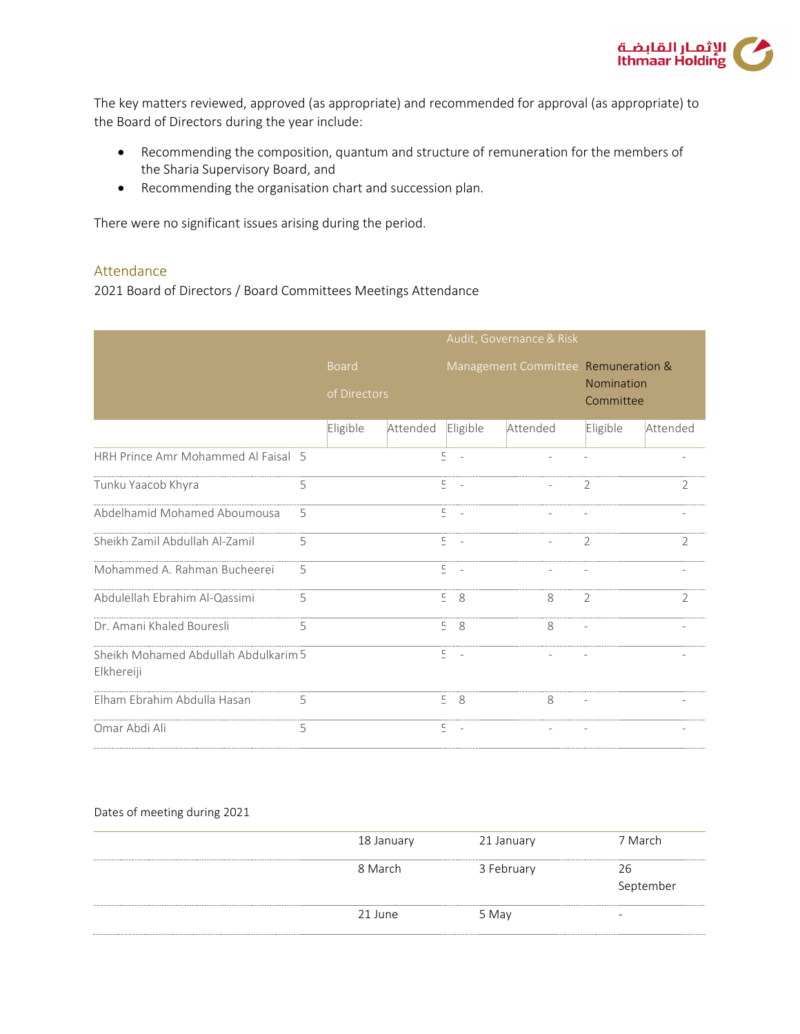

The key matters reviewed, approved (as appropriate) and recommended for approval (as appropriate) to the Board of Directors during the year include:

- Recommending the composition, quantum and structure of remuneration for the members of the Sharia Supervisory Board, and
- Recommending the organisation chart and succession plan.

There were no significant issues arising during the period.

#### Attendance

2021 Board of Directors / Board Committees Meetings Attendance

|                                                    |   | Audit, Governance & Risk |          |                                            |          |                                     |                |                |
|----------------------------------------------------|---|--------------------------|----------|--------------------------------------------|----------|-------------------------------------|----------------|----------------|
|                                                    |   | <b>Board</b>             |          |                                            |          | Management Committee Remuneration & |                |                |
|                                                    |   | of Directors             |          |                                            |          | Nomination<br>Committee             |                |                |
|                                                    |   | Eligible                 | Attended |                                            | Eligible | Attended                            | Eligible       | Attended       |
| HRH Prince Amr Mohammed Al Faisal 5                |   |                          |          | 5<br>$\sim$                                |          |                                     |                |                |
| Tunku Yaacob Khyra                                 | 5 |                          |          | $\overline{E}$<br>$\overline{\phantom{a}}$ |          |                                     | $\overline{2}$ | $\overline{2}$ |
| Abdelhamid Mohamed Aboumousa                       | 5 |                          |          | 5                                          |          |                                     |                |                |
| Sheikh Zamil Abdullah Al-Zamil                     | 5 |                          |          | $\overline{\Xi}$<br>$\sim$                 |          |                                     | $\overline{2}$ | $\overline{2}$ |
| Mohammed A. Rahman Bucheerei                       | 5 |                          |          | $\overline{\mathbb{F}}$                    |          |                                     |                |                |
| Abdulellah Ebrahim Al-Qassimi                      | 5 |                          |          | $\overline{\mathbb{E}}$<br>8               |          | 8                                   | $\overline{2}$ | $\overline{2}$ |
| Dr. Amani Khaled Bouresli                          | 5 |                          |          | 58                                         |          | 8                                   |                |                |
| Sheikh Mohamed Abdullah Abdulkarim 5<br>Elkhereiji |   |                          |          | $\Xi^-$<br>$\sim$                          |          |                                     |                |                |
| Elham Ebrahim Abdulla Hasan                        | 5 |                          |          | 5<br>8                                     |          | 8                                   |                |                |
| Omar Abdi Ali                                      | 5 |                          |          | 5<br>$\overline{\phantom{a}}$              |          |                                     |                |                |

#### Dates of meeting during 2021

| 18 January | 21 January | 7 March   |
|------------|------------|-----------|
| 8 March    | 3 February | 26        |
|            |            | September |
| 21 June    | 5 May      |           |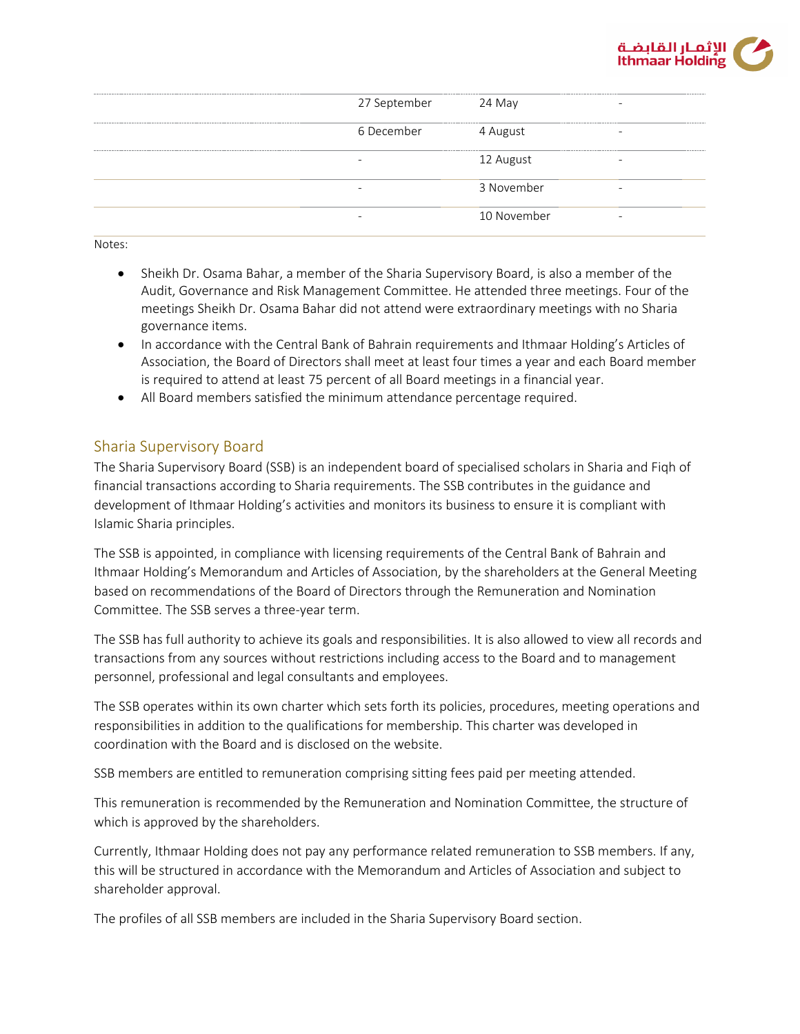

| 27 September | 24 May      |                             |          |
|--------------|-------------|-----------------------------|----------|
| 6 December   | 4 August    | --------------------------- | -------- |
|              | 12 August   |                             |          |
|              | 3 November  |                             |          |
|              | 10 November |                             |          |
|              |             |                             |          |

Notes:

- Sheikh Dr. Osama Bahar, a member of the Sharia Supervisory Board, is also a member of the Audit, Governance and Risk Management Committee. He attended three meetings. Four of the meetings Sheikh Dr. Osama Bahar did not attend were extraordinary meetings with no Sharia governance items.
- In accordance with the Central Bank of Bahrain requirements and Ithmaar Holding's Articles of Association, the Board of Directors shall meet at least four times a year and each Board member is required to attend at least 75 percent of all Board meetings in a financial year.
- All Board members satisfied the minimum attendance percentage required.

### Sharia Supervisory Board

The Sharia Supervisory Board (SSB) is an independent board of specialised scholars in Sharia and Fiqh of financial transactions according to Sharia requirements. The SSB contributes in the guidance and development of Ithmaar Holding's activities and monitors its business to ensure it is compliant with Islamic Sharia principles.

The SSB is appointed, in compliance with licensing requirements of the Central Bank of Bahrain and Ithmaar Holding's Memorandum and Articles of Association, by the shareholders at the General Meeting based on recommendations of the Board of Directors through the Remuneration and Nomination Committee. The SSB serves a three-year term.

The SSB has full authority to achieve its goals and responsibilities. It is also allowed to view all records and transactions from any sources without restrictions including access to the Board and to management personnel, professional and legal consultants and employees.

The SSB operates within its own charter which sets forth its policies, procedures, meeting operations and responsibilities in addition to the qualifications for membership. This charter was developed in coordination with the Board and is disclosed on the website.

SSB members are entitled to remuneration comprising sitting fees paid per meeting attended.

This remuneration is recommended by the Remuneration and Nomination Committee, the structure of which is approved by the shareholders.

Currently, Ithmaar Holding does not pay any performance related remuneration to SSB members. If any, this will be structured in accordance with the Memorandum and Articles of Association and subject to shareholder approval.

The profiles of all SSB members are included in the Sharia Supervisory Board section.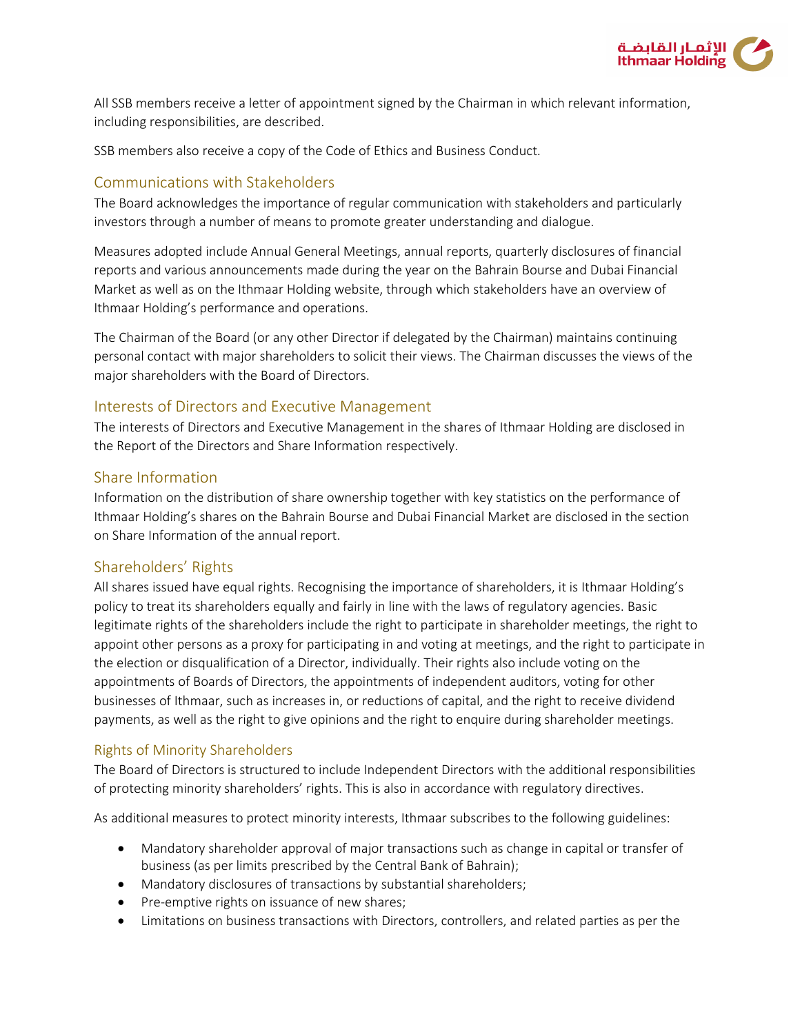

All SSB members receive a letter of appointment signed by the Chairman in which relevant information, including responsibilities, are described.

SSB members also receive a copy of the Code of Ethics and Business Conduct.

### Communications with Stakeholders

The Board acknowledges the importance of regular communication with stakeholders and particularly investors through a number of means to promote greater understanding and dialogue.

Measures adopted include Annual General Meetings, annual reports, quarterly disclosures of financial reports and various announcements made during the year on the Bahrain Bourse and Dubai Financial Market as well as on the Ithmaar Holding website, through which stakeholders have an overview of Ithmaar Holding's performance and operations.

The Chairman of the Board (or any other Director if delegated by the Chairman) maintains continuing personal contact with major shareholders to solicit their views. The Chairman discusses the views of the major shareholders with the Board of Directors.

### Interests of Directors and Executive Management

The interests of Directors and Executive Management in the shares of Ithmaar Holding are disclosed in the Report of the Directors and Share Information respectively.

#### Share Information

Information on the distribution of share ownership together with key statistics on the performance of Ithmaar Holding's shares on the Bahrain Bourse and Dubai Financial Market are disclosed in the section on Share Information of the annual report.

### Shareholders' Rights

All shares issued have equal rights. Recognising the importance of shareholders, it is Ithmaar Holding's policy to treat its shareholders equally and fairly in line with the laws of regulatory agencies. Basic legitimate rights of the shareholders include the right to participate in shareholder meetings, the right to appoint other persons as a proxy for participating in and voting at meetings, and the right to participate in the election or disqualification of a Director, individually. Their rights also include voting on the appointments of Boards of Directors, the appointments of independent auditors, voting for other businesses of Ithmaar, such as increases in, or reductions of capital, and the right to receive dividend payments, as well as the right to give opinions and the right to enquire during shareholder meetings.

### Rights of Minority Shareholders

The Board of Directors is structured to include Independent Directors with the additional responsibilities of protecting minority shareholders' rights. This is also in accordance with regulatory directives.

As additional measures to protect minority interests, Ithmaar subscribes to the following guidelines:

- Mandatory shareholder approval of major transactions such as change in capital or transfer of business (as per limits prescribed by the Central Bank of Bahrain);
- Mandatory disclosures of transactions by substantial shareholders;
- Pre-emptive rights on issuance of new shares;
- Limitations on business transactions with Directors, controllers, and related parties as per the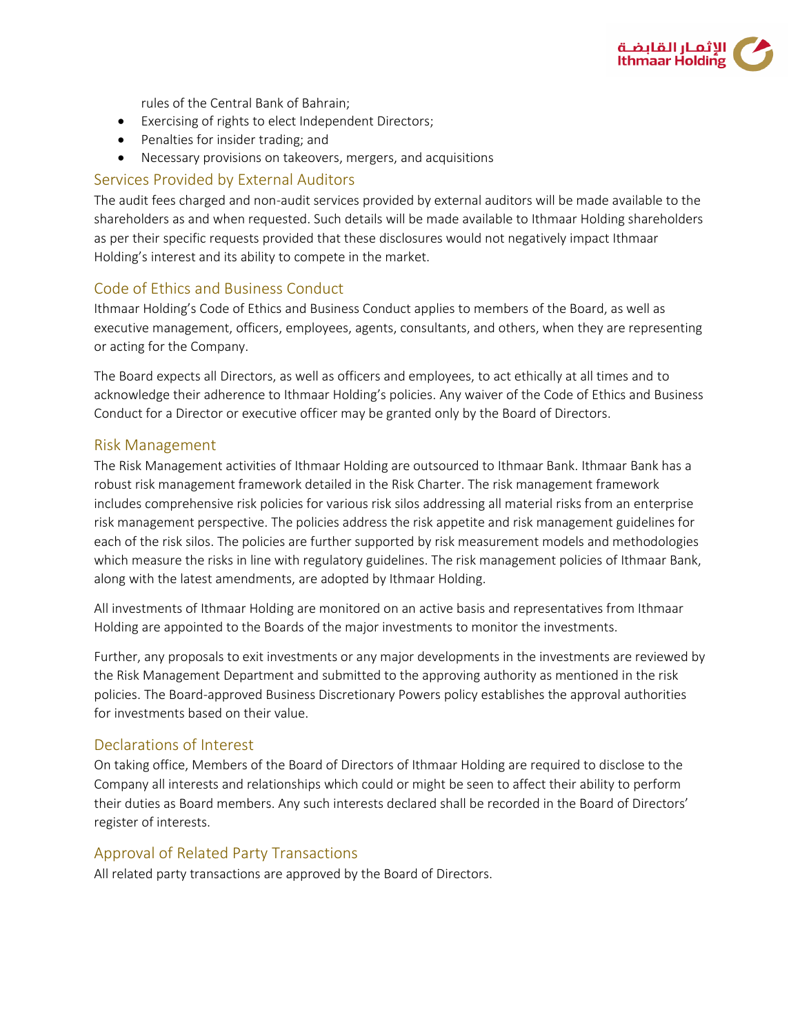

rules of the Central Bank of Bahrain;

- Exercising of rights to elect Independent Directors;
- Penalties for insider trading; and
- Necessary provisions on takeovers, mergers, and acquisitions

### Services Provided by External Auditors

The audit fees charged and non-audit services provided by external auditors will be made available to the shareholders as and when requested. Such details will be made available to Ithmaar Holding shareholders as per their specific requests provided that these disclosures would not negatively impact Ithmaar Holding's interest and its ability to compete in the market.

# Code of Ethics and Business Conduct

Ithmaar Holding's Code of Ethics and Business Conduct applies to members of the Board, as well as executive management, officers, employees, agents, consultants, and others, when they are representing or acting for the Company.

The Board expects all Directors, as well as officers and employees, to act ethically at all times and to acknowledge their adherence to Ithmaar Holding's policies. Any waiver of the Code of Ethics and Business Conduct for a Director or executive officer may be granted only by the Board of Directors.

### Risk Management

The Risk Management activities of Ithmaar Holding are outsourced to Ithmaar Bank. Ithmaar Bank has a robust risk management framework detailed in the Risk Charter. The risk management framework includes comprehensive risk policies for various risk silos addressing all material risks from an enterprise risk management perspective. The policies address the risk appetite and risk management guidelines for each of the risk silos. The policies are further supported by risk measurement models and methodologies which measure the risks in line with regulatory guidelines. The risk management policies of Ithmaar Bank, along with the latest amendments, are adopted by Ithmaar Holding.

All investments of Ithmaar Holding are monitored on an active basis and representatives from Ithmaar Holding are appointed to the Boards of the major investments to monitor the investments.

Further, any proposals to exit investments or any major developments in the investments are reviewed by the Risk Management Department and submitted to the approving authority as mentioned in the risk policies. The Board-approved Business Discretionary Powers policy establishes the approval authorities for investments based on their value.

### Declarations of Interest

On taking office, Members of the Board of Directors of Ithmaar Holding are required to disclose to the Company all interests and relationships which could or might be seen to affect their ability to perform their duties as Board members. Any such interests declared shall be recorded in the Board of Directors' register of interests.

### Approval of Related Party Transactions

All related party transactions are approved by the Board of Directors.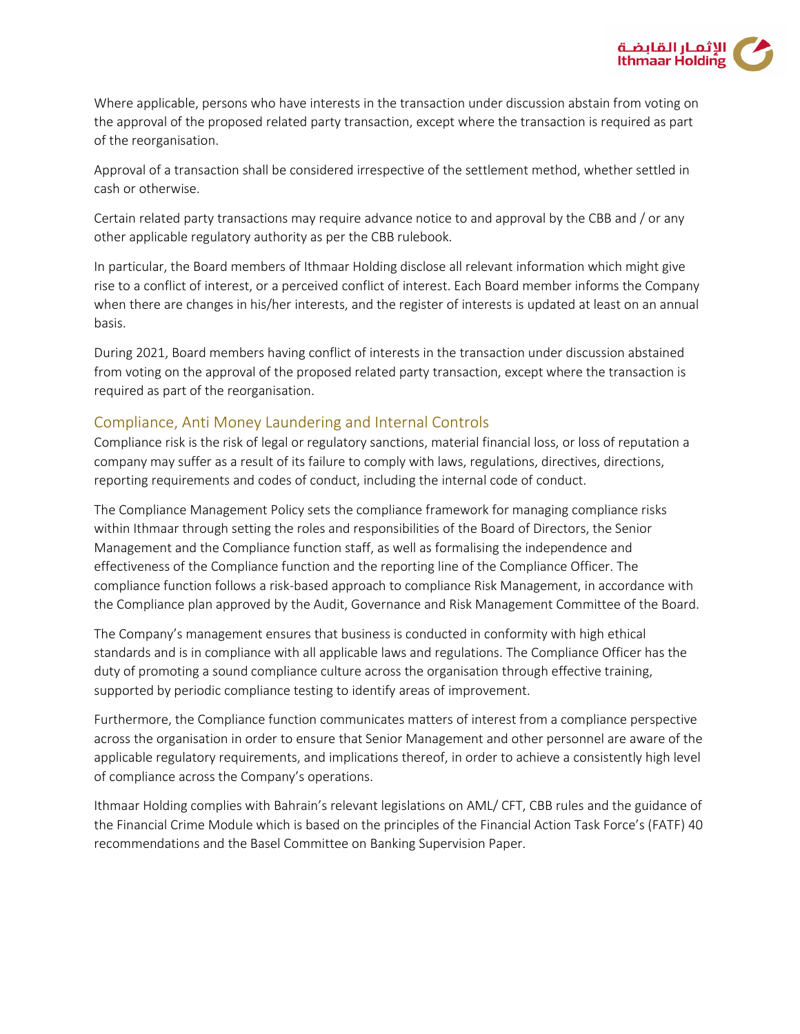

Where applicable, persons who have interests in the transaction under discussion abstain from voting on the approval of the proposed related party transaction, except where the transaction is required as part of the reorganisation.

Approval of a transaction shall be considered irrespective of the settlement method, whether settled in cash or otherwise.

Certain related party transactions may require advance notice to and approval by the CBB and / or any other applicable regulatory authority as per the CBB rulebook.

In particular, the Board members of Ithmaar Holding disclose all relevant information which might give rise to a conflict of interest, or a perceived conflict of interest. Each Board member informs the Company when there are changes in his/her interests, and the register of interests is updated at least on an annual basis.

During 2021, Board members having conflict of interests in the transaction under discussion abstained from voting on the approval of the proposed related party transaction, except where the transaction is required as part of the reorganisation.

# Compliance, Anti Money Laundering and Internal Controls

Compliance risk is the risk of legal or regulatory sanctions, material financial loss, or loss of reputation a company may suffer as a result of its failure to comply with laws, regulations, directives, directions, reporting requirements and codes of conduct, including the internal code of conduct.

The Compliance Management Policy sets the compliance framework for managing compliance risks within Ithmaar through setting the roles and responsibilities of the Board of Directors, the Senior Management and the Compliance function staff, as well as formalising the independence and effectiveness of the Compliance function and the reporting line of the Compliance Officer. The compliance function follows a risk-based approach to compliance Risk Management, in accordance with the Compliance plan approved by the Audit, Governance and Risk Management Committee of the Board.

The Company's management ensures that business is conducted in conformity with high ethical standards and is in compliance with all applicable laws and regulations. The Compliance Officer has the duty of promoting a sound compliance culture across the organisation through effective training, supported by periodic compliance testing to identify areas of improvement.

Furthermore, the Compliance function communicates matters of interest from a compliance perspective across the organisation in order to ensure that Senior Management and other personnel are aware of the applicable regulatory requirements, and implications thereof, in order to achieve a consistently high level of compliance across the Company's operations.

Ithmaar Holding complies with Bahrain's relevant legislations on AML/ CFT, CBB rules and the guidance of the Financial Crime Module which is based on the principles of the Financial Action Task Force's (FATF) 40 recommendations and the Basel Committee on Banking Supervision Paper.